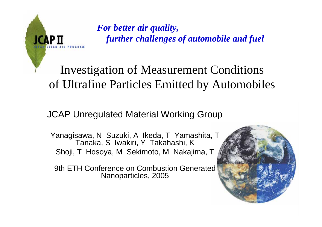

*For better air quality, further challenges of automobile and fuel*

# Investigation of Measurement Conditions of Ultrafine Particles Emitted by Automobiles

### JCAP Unregulated Material Working Group

Yanagisawa, N Suzuki, A Ikeda, T Yamashita, T Tanaka, S Iwakiri, Y Takahashi, K Shoji, T Hosoya, M Sekimoto, M Nakajima, T

9th ETH Conference on Combustion Generated Nanoparticles, 2005

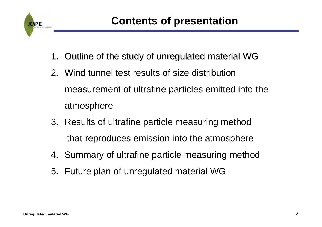

- 1. Outline of the study of unregulated material WG
- 2. Wind tunnel test results of size distribution measurement of ultrafine particles emitted into the atmosphere
- 3. Results of ultrafine particle measuring method that reproduces emission into the atmosphere
- 4. Summary of ultrafine particle measuring method
- 5. Future plan of unregulated material WG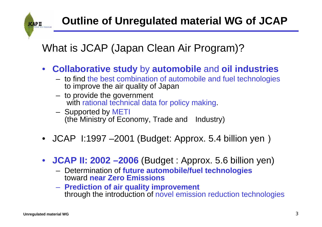# What is JCAP (Japan Clean Air Program)?

- $\bullet$  **Collaborative study** by **automobile** and **oil industries**
	- to find the best combination of automobile and fuel technologies to improve the air quality of Japan
	- to provide the government with rational technical data for policy making.
	- Supported by METI (the Ministry of Economy, Trade and Industry)
- JCAP I:1997 –2001 (Budget: Approx. 5.4 billion yen)
- $\bullet$  **JCAP II: 2002 –2006** (Budget : Approx. 5.6 billion yen)
	- Determination of **future automobile/fuel technologies**  toward **near Zero Emissions**
	- **Prediction of air quality improvement**  through the introduction of novel emission reduction technologies

**ЈСАР П**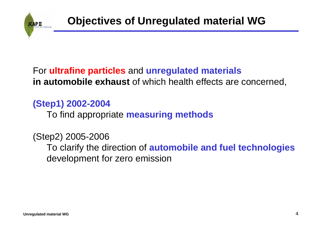

## For **ultrafine particles** and **unregulated materials in automobile exhaust** of which health effects are concerned,

# **(Step1) 2002-2004**

To find appropriate **measuring methods**

(Step2) 2005-2006 To clarify the direction of **automobile and fuel technologies** development for zero emission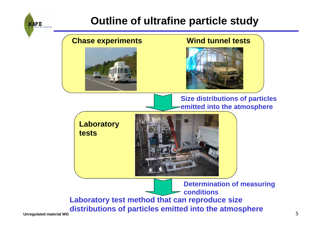

# **Outline of ultrafine particle study**

#### **Chase experiments Wind tunnel tests**





**Size distributions of particles emitted into the atmosphere**

**Laboratory tests**



**Unregulated material WG** 5 **Laboratory test method that can reproduce size distributions of particles emitted into the atmosphere Determination of measuring conditions**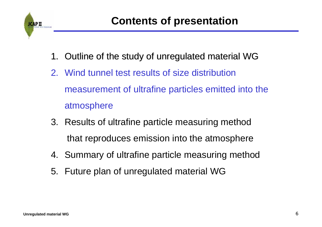

- 1. Outline of the study of unregulated material WG
- 2. Wind tunnel test results of size distribution measurement of ultrafine particles emitted into the atmosphere
- 3. Results of ultrafine particle measuring method that reproduces emission into the atmosphere
- 4. Summary of ultrafine particle measuring method
- 5. Future plan of unregulated material WG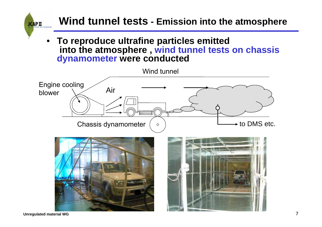

**Unregulated material WG** 7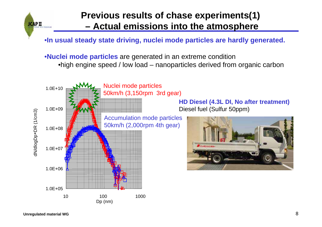

#### **Previous results of chase experiments(1) – Actual emissions into the atmosphere**

•**In usual steady state driving, nuclei mode particles are hardly generated.**

•**Nuclei mode particles** are generated in an extreme condition •high engine speed / low load – nanoparticles derived from organic carbon

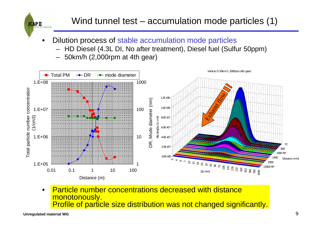

- • Dilution process of stable accumulation mode particles
	- –HD Diesel (4.3L DI, No after treatment), Diesel fuel (Sulfur 50ppm)
	- –50km/h (2,000rpm at 4th gear)



• Particle number concentrations decreased with distance monotonously. Profile of particle size distribution was not changed significantly.

**ЈСАР П**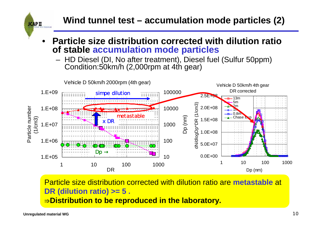**Wind tunnel test – accumulation mode particles (2)**

- • **Particle size distribution corrected with dilution ratio of stable accumulation mode particles**
	- HD Diesel (DI, No after treatment), Diesel fuel (Sulfur 50ppm) Condition:50km/h (2,000rpm at 4th gear)



Particle size distribution corrected with dilution ratio are **metastable** at **DR (dilution ratio) >= 5 .** <sup>⇒</sup>**Distribution to be reproduced in the laboratory.**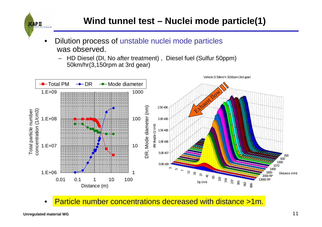- • Dilution process of unstable nuclei mode particles was observed.
	- HD Diesel (DI, No after treatment) , Diesel fuel (Sulfur 50ppm) 50km/hr(3,150rpm at 3rd gear)



•Particle number concentrations decreased with distance >1m.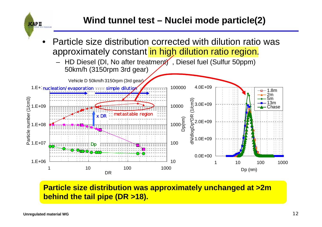

#### **Particle size distribution was approximately unchanged at >2m behind the tail pipe (DR >18).**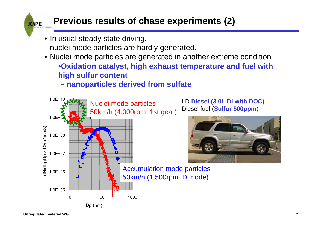# **Previous results of chase experiments (2)**

- In usual steady state driving, nuclei mode particles are hardly generated.
- Nuclei mode particles are generated in another extreme condition •**Oxidation catalyst, high exhaust temperature and fuel with high sulfur content**

#### **– nanoparticles derived from sulfate**

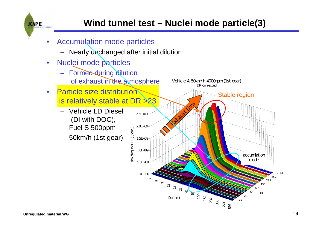

- $\bullet$  Accumulation mode particles
	- Nearly unchanged after initial dilution
- $\bullet$  Nuclei mode particles
	- Formed during dilution of exhaust in the atmosphere
- • Particle size distribution is relatively stable at DR >23
	- Vehicle LD Diesel (DI with DOC), Fuel S 500ppm
	- 50km/h (1st gear)

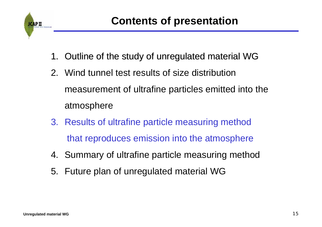

- 1. Outline of the study of unregulated material WG
- 2. Wind tunnel test results of size distribution measurement of ultrafine particles emitted into the atmosphere
- 3. Results of ultrafine particle measuring method that reproduces emission into the atmosphere
- 4. Summary of ultrafine particle measuring method
- 5. Future plan of unregulated material WG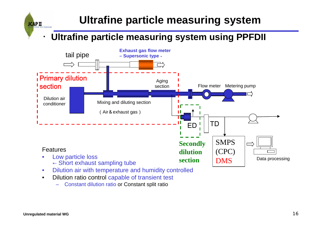# **Ultrafine particle measuring system**

## ・**Ultrafine particle measuring system using PPFDII**



- • Dilution air with temperature and humidity controlled • Dilution ratio control capable of transient test
	- –Constant dilution ratio or Constant split ratio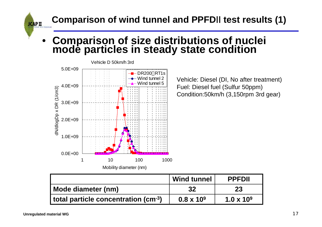**Comparison of wind tunnel and PPFD**Ⅱ **test results (1)**

### •**Comparison of size distributions of nuclei mode particles in steady state condition**



Vehicle: Diesel (DI, No after treatment) Fuel: Diesel fuel (Sulfur 50ppm) Condition:50km/h (3,150rpm 3rd gear)

|                                     | <b>Wind tunnel</b> | <b>PPFDII</b>     |
|-------------------------------------|--------------------|-------------------|
| Mode diameter (nm)                  | 32                 | 23                |
| total particle concentration (cm-3) | $0.8 \times 10^9$  | $1.0 \times 10^9$ |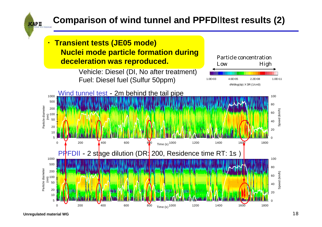# **Comparison of wind tunnel and PPFD**Ⅱ**test results (2)**

・**Transient tests (JE05 mode) Nuclei mode particle formation during deceleration was reproduced.**

Vehicle: Diesel (DI, No after treatment) Fuel: Diesel fuel (Sulfur 50ppm)



**Unregulated material WG** 18

**ЈСАР II** 

1.0E+03 4.6E+05 2.2E+08 1.0E+11

Particle concentrationLow High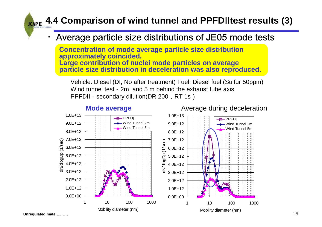# **4.4 Comparison of wind tunnel and PPFD**Ⅱ**test results (3)**

#### Average particle size distributions of JE05 mode tests

**Concentration of mode average particle size distribution approximately coincided. Large contribution of nuclei mode particles on average particle size distribution in deceleration was also reproduced.** 

Vehicle: Diesel (DI, No after treatment) Fuel: Diesel fuel (Sulfur 50ppm) Wind tunnel test-2m and 5 m behind the exhaust tube axis PPFDII - secondary dilution(DR 200, RT 1s)



#### **Mode average**

**Unregulated material Contract Contract of the Contract Order of the Contract Order of the Contract Order of the Contract Order of the Contract Order of the Contract Order of the Contract Order of the Contract Order of the**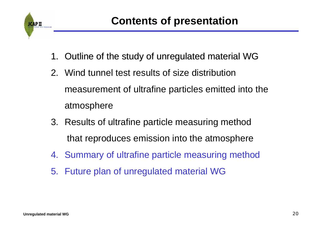

- 1. Outline of the study of unregulated material WG
- 2. Wind tunnel test results of size distribution measurement of ultrafine particles emitted into the atmosphere
- 3. Results of ultrafine particle measuring method that reproduces emission into the atmosphere
- 4. Summary of ultrafine particle measuring method
- 5. Future plan of unregulated material WG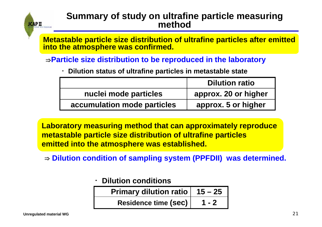

#### **Summary of study on ultrafine particle measuring method**

**Metastable particle size distribution of ultrafine particles after emitted into the atmosphere was confirmed.**

<sup>⇒</sup>**Particle size distribution to be reproduced in the laboratory** 

・**Dilution status of ultrafine particles in metastable state**

|                             | <b>Dilution ratio</b> |  |
|-----------------------------|-----------------------|--|
| nuclei mode particles       | approx. 20 or higher  |  |
| accumulation mode particles | approx. 5 or higher   |  |

**Laboratory measuring method that can approximately reproduce metastable particle size distribution of ultrafine particles emitted into the atmosphere was established.** 

⇒ **Dilution condition of sampling system (PPFDII) was determined.** 

・**Dilution conditions**

| Primary dilution ratio $  15 - 25  $ |         |
|--------------------------------------|---------|
| Residence time (Sec)                 | $1 - 2$ |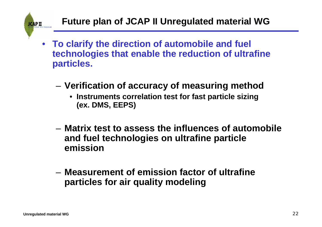

- **To clarify the direction of automobile and fuel technologies that enable the reduction of ultrafine particles.**
	- **Verification of accuracy of measuring method**
		- **Instruments correlation test for fast particle sizing (ex. DMS, EEPS)**
	- **Matrix test to assess the influences of automobile and fuel technologies on ultrafine particle emission**
	- **Measurement of emission factor of ultrafine particles for air quality modeling**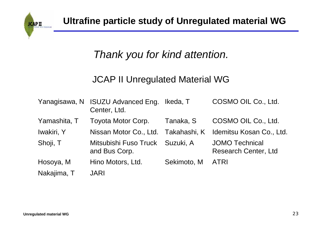

# *Thank you for kind attention.*

### JCAP II Unregulated Material WG

|              | Yanagisawa, N ISUZU Advanced Eng. Ikeda, T<br>Center, Ltd. |             | COSMO OIL Co., Ltd.                                  |
|--------------|------------------------------------------------------------|-------------|------------------------------------------------------|
| Yamashita, T | Toyota Motor Corp.                                         | Tanaka, S   | COSMO OIL Co., Ltd.                                  |
| Iwakiri, Y   | Nissan Motor Co., Ltd. Takahashi, K                        |             | Idemitsu Kosan Co., Ltd.                             |
| Shoji, T     | Mitsubishi Fuso Truck Suzuki, A<br>and Bus Corp.           |             | <b>JOMO Technical</b><br><b>Research Center, Ltd</b> |
| Hosoya, M    | Hino Motors, Ltd.                                          | Sekimoto, M | <b>ATRI</b>                                          |
| Nakajima, T  | <b>JARI</b>                                                |             |                                                      |